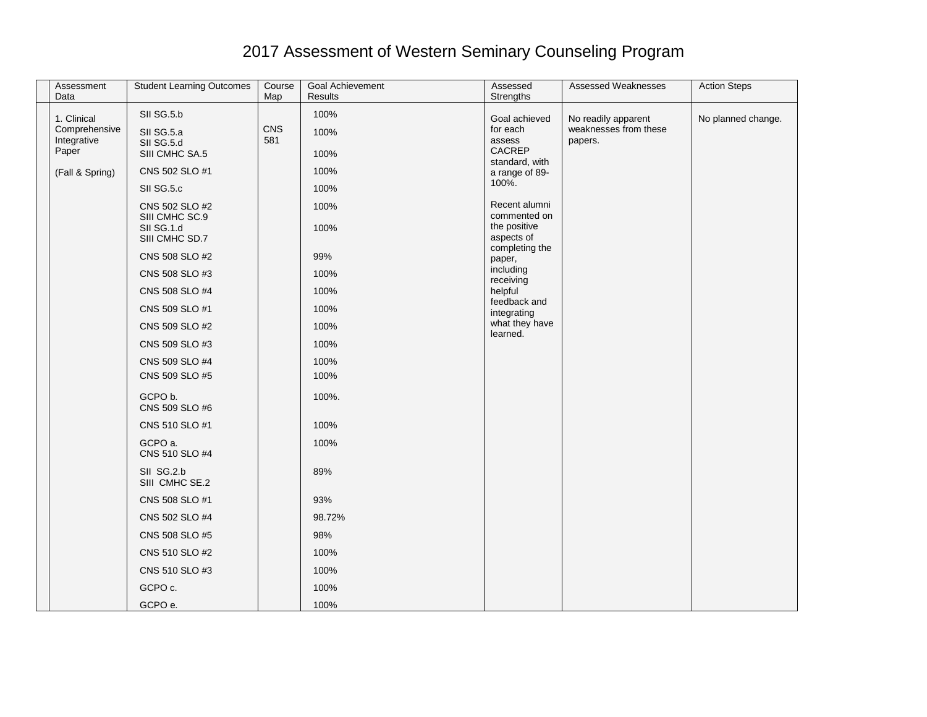## 2017 Assessment of Western Seminary Counseling Program

| Assessment<br>Data                          | <b>Student Learning Outcomes</b>       | Course<br>Map | Goal Achievement<br><b>Results</b> | Assessed<br>Strengths               | <b>Assessed Weaknesses</b>                              | <b>Action Steps</b> |
|---------------------------------------------|----------------------------------------|---------------|------------------------------------|-------------------------------------|---------------------------------------------------------|---------------------|
|                                             |                                        |               |                                    |                                     |                                                         |                     |
| 1. Clinical<br>Comprehensive<br>Integrative | SII SG.5.b<br>SII SG.5.a<br>SII SG.5.d | CNS<br>581    | 100%<br>100%                       | Goal achieved<br>for each<br>assess | No readily apparent<br>weaknesses from these<br>papers. | No planned change.  |
| Paper                                       | SIII CMHC SA.5                         |               | 100%                               | CACREP<br>standard, with            |                                                         |                     |
| (Fall & Spring)                             | CNS 502 SLO #1                         |               | 100%                               | a range of 89-                      |                                                         |                     |
|                                             | SII SG.5.c                             |               | 100%                               | 100%.                               |                                                         |                     |
|                                             | CNS 502 SLO #2<br>SIII CMHC SC.9       |               | 100%                               | Recent alumni<br>commented on       |                                                         |                     |
|                                             | SII SG.1.d<br>SIII CMHC SD.7           |               | 100%                               | the positive<br>aspects of          |                                                         |                     |
|                                             | CNS 508 SLO #2                         |               | 99%                                | completing the<br>paper,            |                                                         |                     |
|                                             | CNS 508 SLO #3                         |               | 100%                               | including<br>receiving              |                                                         |                     |
|                                             | CNS 508 SLO #4                         |               | 100%                               | helpful                             |                                                         |                     |
|                                             | CNS 509 SLO #1                         |               | 100%                               | feedback and<br>integrating         |                                                         |                     |
|                                             | CNS 509 SLO #2                         |               | 100%                               | what they have<br>learned.          |                                                         |                     |
|                                             | CNS 509 SLO #3                         |               | 100%                               |                                     |                                                         |                     |
|                                             | CNS 509 SLO #4                         |               | 100%                               |                                     |                                                         |                     |
|                                             | CNS 509 SLO #5                         |               | 100%                               |                                     |                                                         |                     |
|                                             | GCPO b.<br>CNS 509 SLO #6              |               | 100%.                              |                                     |                                                         |                     |
|                                             | CNS 510 SLO #1                         |               | 100%                               |                                     |                                                         |                     |
|                                             | GCPO a.<br>CNS 510 SLO #4              |               | 100%                               |                                     |                                                         |                     |
|                                             | SII SG.2.b<br>SIII CMHC SE.2           |               | 89%                                |                                     |                                                         |                     |
|                                             | CNS 508 SLO #1                         |               | 93%                                |                                     |                                                         |                     |
|                                             | CNS 502 SLO #4                         |               | 98.72%                             |                                     |                                                         |                     |
|                                             | CNS 508 SLO #5                         |               | 98%                                |                                     |                                                         |                     |
|                                             | CNS 510 SLO #2                         |               | 100%                               |                                     |                                                         |                     |
|                                             | CNS 510 SLO #3                         |               | 100%                               |                                     |                                                         |                     |
|                                             | GCPO c.                                |               | 100%                               |                                     |                                                         |                     |
|                                             | GCPO e.                                |               | 100%                               |                                     |                                                         |                     |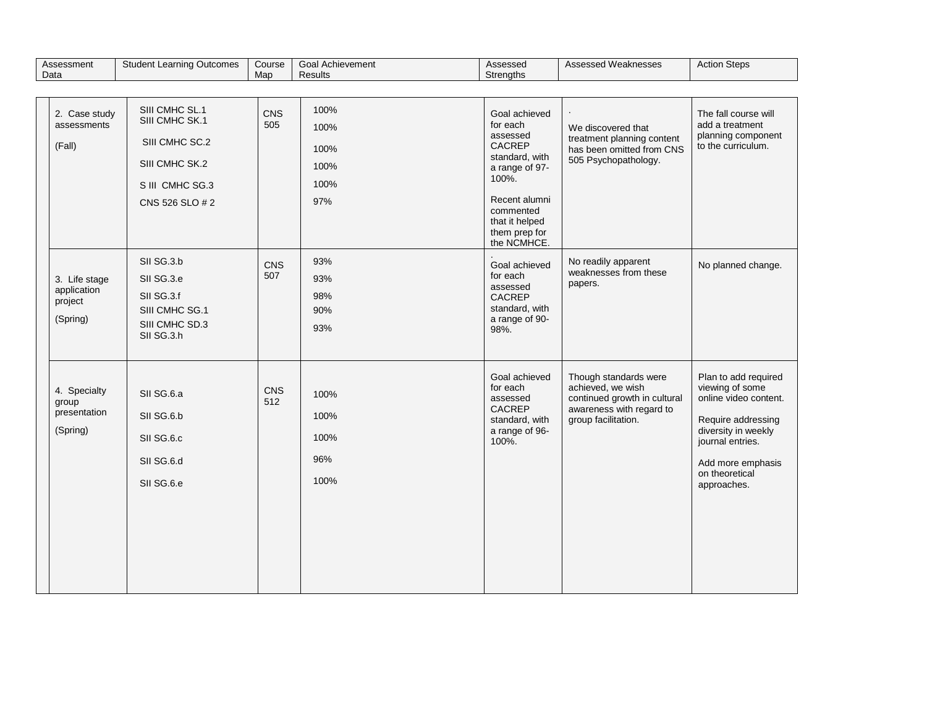| Assessment<br>Data                                  | <b>Student Learning Outcomes</b>                                                                           | Course<br>Map | <b>Goal Achievement</b><br><b>Results</b>   | Assessed<br>Strengths                                                                                                                                                        | Assessed Weaknesses                                                                                                           | <b>Action Steps</b>                                                                                                                                                                     |
|-----------------------------------------------------|------------------------------------------------------------------------------------------------------------|---------------|---------------------------------------------|------------------------------------------------------------------------------------------------------------------------------------------------------------------------------|-------------------------------------------------------------------------------------------------------------------------------|-----------------------------------------------------------------------------------------------------------------------------------------------------------------------------------------|
|                                                     |                                                                                                            |               |                                             |                                                                                                                                                                              |                                                                                                                               |                                                                                                                                                                                         |
| 2. Case study<br>assessments<br>(Fall)              | SIII CMHC SL.1<br>SIII CMHC SK.1<br>SIII CMHC SC.2<br>SIII CMHC SK.2<br>S III CMHC SG.3<br>CNS 526 SLO # 2 | CNS<br>505    | 100%<br>100%<br>100%<br>100%<br>100%<br>97% | Goal achieved<br>for each<br>assessed<br>CACREP<br>standard, with<br>a range of 97-<br>100%.<br>Recent alumni<br>commented<br>that it helped<br>them prep for<br>the NCMHCE. | We discovered that<br>treatment planning content<br>has been omitted from CNS<br>505 Psychopathology.                         | The fall course will<br>add a treatment<br>planning component<br>to the curriculum.                                                                                                     |
| 3. Life stage<br>application<br>project<br>(Spring) | SII SG.3.b<br>SII SG.3.e<br>SII SG.3.f<br>SIII CMHC SG.1<br>SIII CMHC SD.3<br>SII SG.3.h                   | CNS<br>507    | 93%<br>93%<br>98%<br>90%<br>93%             | Goal achieved<br>for each<br>assessed<br><b>CACREP</b><br>standard, with<br>a range of 90-<br>98%.                                                                           | No readily apparent<br>weaknesses from these<br>papers.                                                                       | No planned change.                                                                                                                                                                      |
| 4. Specialty<br>group<br>presentation<br>(Spring)   | SII SG.6.a<br>SII SG.6.b<br>SII SG.6.c<br>SII SG.6.d<br>SII SG.6.e                                         | CNS<br>512    | 100%<br>100%<br>100%<br>96%<br>100%         | Goal achieved<br>for each<br>assessed<br><b>CACREP</b><br>standard, with<br>a range of 96-<br>100%.                                                                          | Though standards were<br>achieved, we wish<br>continued growth in cultural<br>awareness with regard to<br>group facilitation. | Plan to add required<br>viewing of some<br>online video content.<br>Require addressing<br>diversity in weekly<br>journal entries.<br>Add more emphasis<br>on theoretical<br>approaches. |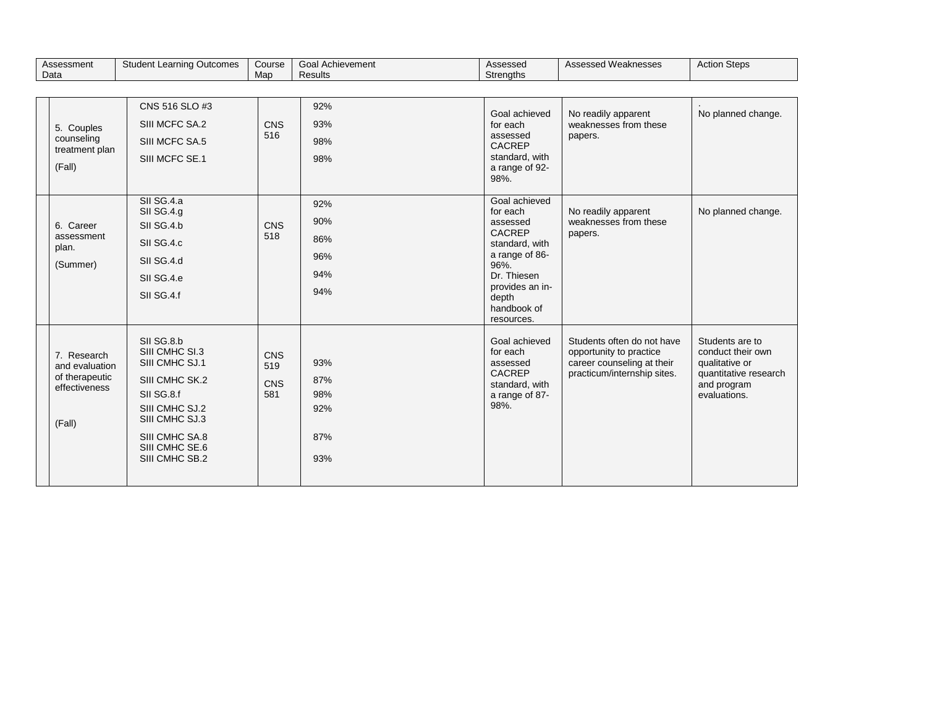| Assessment                                                                 | <b>Student Learning Outcomes</b>                                                                                                                                         | Course                   | <b>Goal Achievement</b>                | Assessed                                                                                                                                                            | Assessed Weaknesses                                                                                                | <b>Action Steps</b>                                                                                            |
|----------------------------------------------------------------------------|--------------------------------------------------------------------------------------------------------------------------------------------------------------------------|--------------------------|----------------------------------------|---------------------------------------------------------------------------------------------------------------------------------------------------------------------|--------------------------------------------------------------------------------------------------------------------|----------------------------------------------------------------------------------------------------------------|
| Data                                                                       |                                                                                                                                                                          | Map                      | <b>Results</b>                         | Strengths                                                                                                                                                           |                                                                                                                    |                                                                                                                |
|                                                                            |                                                                                                                                                                          |                          |                                        |                                                                                                                                                                     |                                                                                                                    |                                                                                                                |
| 5. Couples<br>counseling<br>treatment plan<br>(Fall)                       | CNS 516 SLO #3<br>SIII MCFC SA.2<br>SIII MCFC SA.5<br>SIII MCFC SE.1                                                                                                     | <b>CNS</b><br>516        | 92%<br>93%<br>98%<br>98%               | Goal achieved<br>for each<br>assessed<br><b>CACREP</b><br>standard, with<br>a range of 92-<br>98%.                                                                  | No readily apparent<br>weaknesses from these<br>papers.                                                            | No planned change.                                                                                             |
| 6. Career<br>assessment<br>plan.<br>(Summer)                               | SII SG.4.a<br>SII SG.4.g<br>SII SG.4.b<br>SII SG.4.c<br>SII SG.4.d<br>SII SG.4.e<br>SII SG.4.f                                                                           | <b>CNS</b><br>518        | 92%<br>90%<br>86%<br>96%<br>94%<br>94% | Goal achieved<br>for each<br>assessed<br>CACREP<br>standard, with<br>a range of 86-<br>96%.<br>Dr. Thiesen<br>provides an in-<br>depth<br>handbook of<br>resources. | No readily apparent<br>weaknesses from these<br>papers.                                                            | No planned change.                                                                                             |
| 7. Research<br>and evaluation<br>of therapeutic<br>effectiveness<br>(Fall) | SII SG.8.b<br>SIII CMHC SI.3<br>SIII CMHC SJ.1<br>SIII CMHC SK.2<br>SII SG.8.f<br>SIII CMHC SJ.2<br>SIII CMHC SJ.3<br>SIII CMHC SA.8<br>SIII CMHC SE.6<br>SIII CMHC SB.2 | CNS<br>519<br>CNS<br>581 | 93%<br>87%<br>98%<br>92%<br>87%<br>93% | Goal achieved<br>for each<br>assessed<br><b>CACREP</b><br>standard, with<br>a range of 87-<br>98%.                                                                  | Students often do not have<br>opportunity to practice<br>career counseling at their<br>practicum/internship sites. | Students are to<br>conduct their own<br>qualitative or<br>quantitative research<br>and program<br>evaluations. |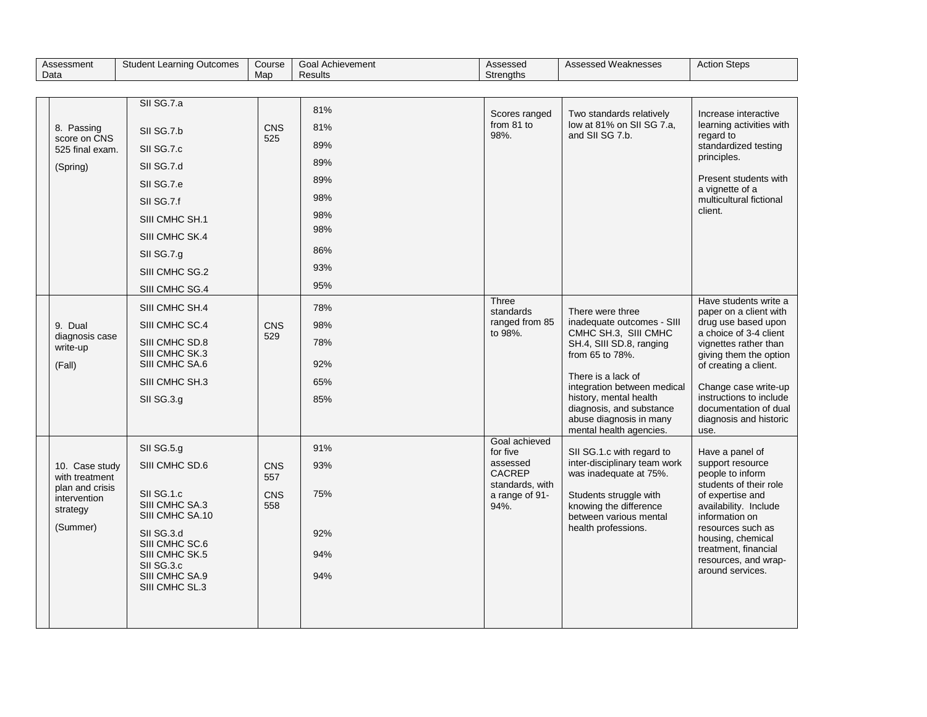| Assessment                       | <b>Student Learning Outcomes</b>  | Course     | <b>Goal Achievement</b> | Assessed                          | Assessed Weaknesses                                    | <b>Action Steps</b>                             |
|----------------------------------|-----------------------------------|------------|-------------------------|-----------------------------------|--------------------------------------------------------|-------------------------------------------------|
| Data                             |                                   | Map        | <b>Results</b>          | <b>Strengths</b>                  |                                                        |                                                 |
|                                  | SII SG.7.a                        |            |                         |                                   |                                                        |                                                 |
|                                  |                                   |            | 81%                     | Scores ranged                     | Two standards relatively                               | Increase interactive                            |
| 8. Passing                       | SII SG.7.b                        | <b>CNS</b> | 81%                     | from 81 to<br>98%.                | low at 81% on SII SG 7.a,<br>and SII SG 7.b.           | learning activities with<br>regard to           |
| score on CNS<br>525 final exam.  | SII SG.7.c                        | 525        | 89%                     |                                   |                                                        | standardized testing                            |
| (Spring)                         | SII SG.7.d                        |            | 89%                     |                                   |                                                        | principles.                                     |
|                                  | SII SG.7.e                        |            | 89%                     |                                   |                                                        | Present students with<br>a vignette of a        |
|                                  | SII SG.7.f                        |            | 98%                     |                                   |                                                        | multicultural fictional                         |
|                                  | SIII CMHC SH.1                    |            | 98%                     |                                   |                                                        | client.                                         |
|                                  | SIII CMHC SK.4                    |            | 98%                     |                                   |                                                        |                                                 |
|                                  | SII SG.7.g                        |            | 86%                     |                                   |                                                        |                                                 |
|                                  | SIII CMHC SG.2                    |            | 93%                     |                                   |                                                        |                                                 |
|                                  | SIII CMHC SG.4                    |            | 95%                     |                                   |                                                        |                                                 |
|                                  | SIII CMHC SH.4                    |            | 78%                     | Three<br>standards                | There were three                                       | Have students write a<br>paper on a client with |
| 9. Dual                          | SIII CMHC SC.4                    | CNS        | 98%                     | ranged from 85                    | inadequate outcomes - SIII                             | drug use based upon                             |
| diagnosis case<br>write-up       | SIII CMHC SD.8                    | 529        | 78%                     | to 98%.                           | CMHC SH.3, SIII CMHC<br>SH.4, SIII SD.8, ranging       | a choice of 3-4 client<br>vignettes rather than |
| (Fall)                           | SIII CMHC SK.3<br>SIII CMHC SA.6  |            | 92%                     |                                   | from 65 to 78%.                                        | giving them the option<br>of creating a client. |
|                                  | SIII CMHC SH.3                    |            | 65%                     |                                   | There is a lack of<br>integration between medical      | Change case write-up                            |
|                                  | SII SG.3.g                        |            | 85%                     |                                   | history, mental health                                 | instructions to include                         |
|                                  |                                   |            |                         |                                   | diagnosis, and substance<br>abuse diagnosis in many    | documentation of dual<br>diagnosis and historic |
|                                  |                                   |            |                         |                                   | mental health agencies.                                | use.                                            |
|                                  | SII SG.5.g                        |            | 91%                     | Goal achieved<br>for five         | SII SG.1.c with regard to                              | Have a panel of                                 |
| 10. Case study<br>with treatment | SIII CMHC SD.6                    | CNS<br>557 | 93%                     | assessed<br><b>CACREP</b>         | inter-disciplinary team work<br>was inadequate at 75%. | support resource<br>people to inform            |
| plan and crisis<br>intervention  | SII SG.1.c                        | CNS        | 75%                     | standards, with<br>a range of 91- | Students struggle with                                 | students of their role<br>of expertise and      |
| strategy                         | SIII CMHC SA.3<br>SIII CMHC SA.10 | 558        |                         | 94%.                              | knowing the difference<br>between various mental       | availability. Include<br>information on         |
| (Summer)                         | SII SG.3.d                        |            | 92%                     |                                   | health professions.                                    | resources such as                               |
|                                  | SIII CMHC SC.6                    |            |                         |                                   |                                                        | housing, chemical<br>treatment, financial       |
|                                  | SIII CMHC SK.5<br>SII SG.3.c      |            | 94%                     |                                   |                                                        | resources, and wrap-                            |
|                                  | SIII CMHC SA.9<br>SIII CMHC SL.3  |            | 94%                     |                                   |                                                        | around services.                                |
|                                  |                                   |            |                         |                                   |                                                        |                                                 |
|                                  |                                   |            |                         |                                   |                                                        |                                                 |
|                                  |                                   |            |                         |                                   |                                                        |                                                 |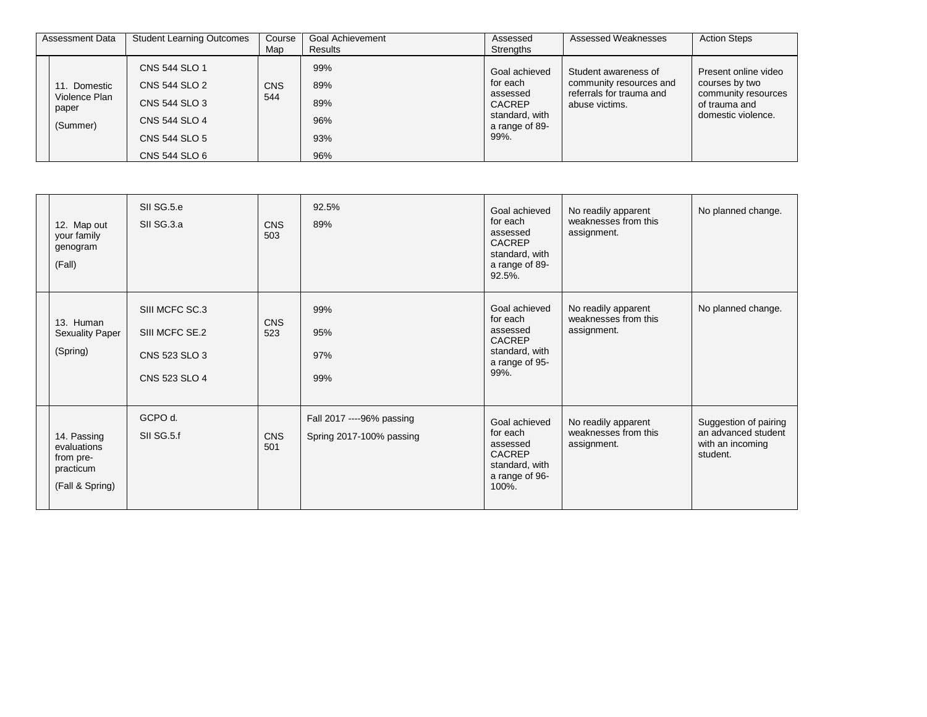| Assessment Data                                    | <b>Student Learning Outcomes</b>                                                                   | Course<br>Map     | <b>Goal Achievement</b><br>Results     | Assessed<br>Strengths                                                                              | Assessed Weaknesses                                                                           | <b>Action Steps</b>                                                                                  |
|----------------------------------------------------|----------------------------------------------------------------------------------------------------|-------------------|----------------------------------------|----------------------------------------------------------------------------------------------------|-----------------------------------------------------------------------------------------------|------------------------------------------------------------------------------------------------------|
| 11. Domestic<br>Violence Plan<br>paper<br>(Summer) | CNS 544 SLO 1<br>CNS 544 SLO 2<br>CNS 544 SLO 3<br>CNS 544 SLO 4<br>CNS 544 SLO 5<br>CNS 544 SLO 6 | <b>CNS</b><br>544 | 99%<br>89%<br>89%<br>96%<br>93%<br>96% | Goal achieved<br>for each<br>assessed<br><b>CACREP</b><br>standard, with<br>a range of 89-<br>99%. | Student awareness of<br>community resources and<br>referrals for trauma and<br>abuse victims. | Present online video<br>courses by two<br>community resources<br>of trauma and<br>domestic violence. |

| 12. Map out<br>your family<br>genogram<br>(Fall)                        | SII SG.5.e<br>SII SG.3.a                                           | <b>CNS</b><br>503 | 92.5%<br>89%                                          | Goal achieved<br>for each<br>assessed<br><b>CACREP</b><br>standard, with<br>a range of 89-<br>92.5%. | No readily apparent<br>weaknesses from this<br>assignment. | No planned change.                                                           |
|-------------------------------------------------------------------------|--------------------------------------------------------------------|-------------------|-------------------------------------------------------|------------------------------------------------------------------------------------------------------|------------------------------------------------------------|------------------------------------------------------------------------------|
| 13. Human<br><b>Sexuality Paper</b><br>(Spring)                         | SIII MCFC SC.3<br>SIII MCFC SE.2<br>CNS 523 SLO 3<br>CNS 523 SLO 4 | <b>CNS</b><br>523 | 99%<br>95%<br>97%<br>99%                              | Goal achieved<br>for each<br>assessed<br><b>CACREP</b><br>standard, with<br>a range of 95-<br>99%.   | No readily apparent<br>weaknesses from this<br>assignment. | No planned change.                                                           |
| 14. Passing<br>evaluations<br>from pre-<br>practicum<br>(Fall & Spring) | GCPO d.<br>SII SG.5.f                                              | <b>CNS</b><br>501 | Fall 2017 ----96% passing<br>Spring 2017-100% passing | Goal achieved<br>for each<br>assessed<br><b>CACREP</b><br>standard, with<br>a range of 96-<br>100%.  | No readily apparent<br>weaknesses from this<br>assignment. | Suggestion of pairing<br>an advanced student<br>with an incoming<br>student. |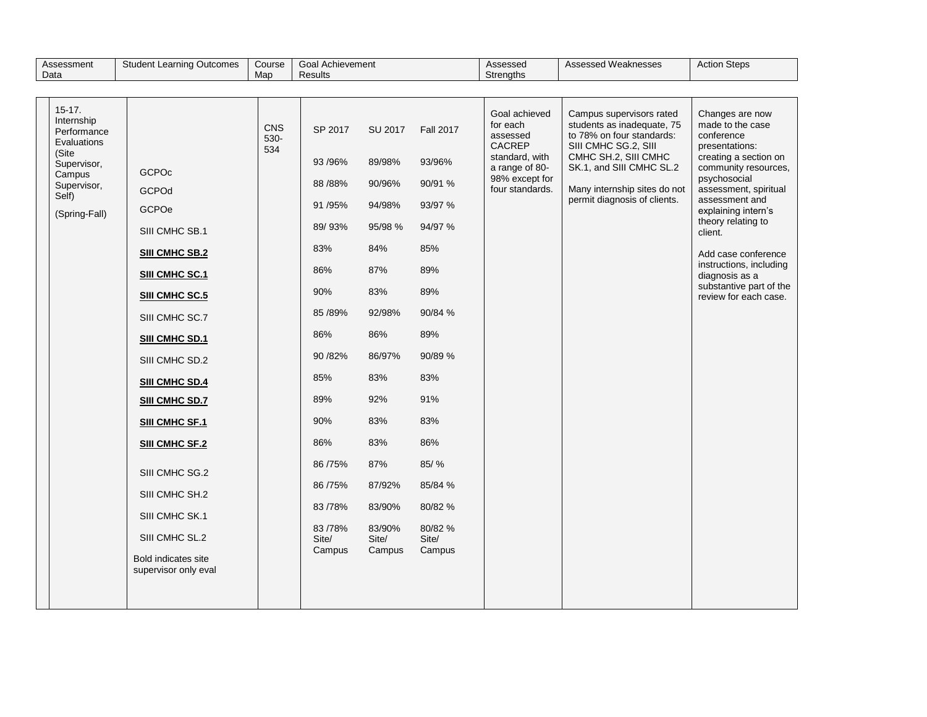| $15 - 17.$<br>Goal achieved<br>Campus supervisors rated<br>Internship<br>students as inadequate, 75<br>for each<br>CNS<br>SP 2017<br>SU 2017<br><b>Fall 2017</b><br>Performance<br>to 78% on four standards:<br>assessed<br>conference<br>530-<br>Evaluations<br><b>CACREP</b><br>SIII CMHC SG.2, SIII<br>534<br>(Site<br>CMHC SH.2, SIII CMHC<br>standard, with<br>93 / 96%<br>89/98%<br>93/96%<br>Supervisor,<br>a range of 80-<br>SK.1, and SIII CMHC SL.2<br>GCPOc<br>Campus<br>98% except for<br>90/91 %<br>88 / 88%<br>90/96%<br>Supervisor,<br>four standards.<br>Many internship sites do not<br>GCPOd<br>Self)<br>permit diagnosis of clients.                                                                                                                                                                                               | Assessed Weaknesses<br><b>Action Steps</b>                                                                                                                                                                                                                                                                                             | Assessed<br>Strengths |         |        | Goal Achievement<br>Results | Course<br>Map | <b>Student Learning Outcomes</b> | Assessment<br>Data |
|-------------------------------------------------------------------------------------------------------------------------------------------------------------------------------------------------------------------------------------------------------------------------------------------------------------------------------------------------------------------------------------------------------------------------------------------------------------------------------------------------------------------------------------------------------------------------------------------------------------------------------------------------------------------------------------------------------------------------------------------------------------------------------------------------------------------------------------------------------|----------------------------------------------------------------------------------------------------------------------------------------------------------------------------------------------------------------------------------------------------------------------------------------------------------------------------------------|-----------------------|---------|--------|-----------------------------|---------------|----------------------------------|--------------------|
|                                                                                                                                                                                                                                                                                                                                                                                                                                                                                                                                                                                                                                                                                                                                                                                                                                                       |                                                                                                                                                                                                                                                                                                                                        |                       |         |        |                             |               |                                  |                    |
| (Spring-Fall)<br>89/93%<br>95/98 %<br>94/97 %<br>SIII CMHC SB.1<br>client.<br>83%<br>84%<br>85%<br><b>SIII CMHC SB.2</b><br>86%<br>87%<br>89%<br>SIII CMHC SC.1<br>90%<br>83%<br>89%<br><b>SIII CMHC SC.5</b><br>85 / 89%<br>92/98%<br>90/84 %<br>SIII CMHC SC.7<br>86%<br>86%<br>89%<br>SIII CMHC SD.1<br>90 / 82%<br>86/97%<br>90/89 %<br>SIII CMHC SD.2<br>85%<br>83%<br>83%<br><b>SIII CMHC SD.4</b><br>89%<br>92%<br>91%<br>SIII CMHC SD.7<br>90%<br>83%<br>83%<br><b>SIII CMHC SF.1</b><br>86%<br>83%<br>86%<br>SIII CMHC SF.2<br>85/%<br>86 / 75%<br>87%<br>SIII CMHC SG.2<br>85/84 %<br>86 / 75%<br>87/92%<br>SIII CMHC SH.2<br>83/90%<br>80/82 %<br>83/78%<br>SIII CMHC SK.1<br>80/82 %<br>83/78%<br>83/90%<br>SIII CMHC SL.2<br>Site/<br>Site/<br>Site/<br>Campus<br>Campus<br>Campus<br><b>Bold indicates site</b><br>supervisor only eval | Changes are now<br>made to the case<br>presentations:<br>creating a section on<br>community resources,<br>psychosocial<br>assessment, spiritual<br>assessment and<br>explaining intern's<br>theory relating to<br>Add case conference<br>instructions, including<br>diagnosis as a<br>substantive part of the<br>review for each case. |                       | 93/97 % | 94/98% | 91 / 95%                    |               | GCPOe                            |                    |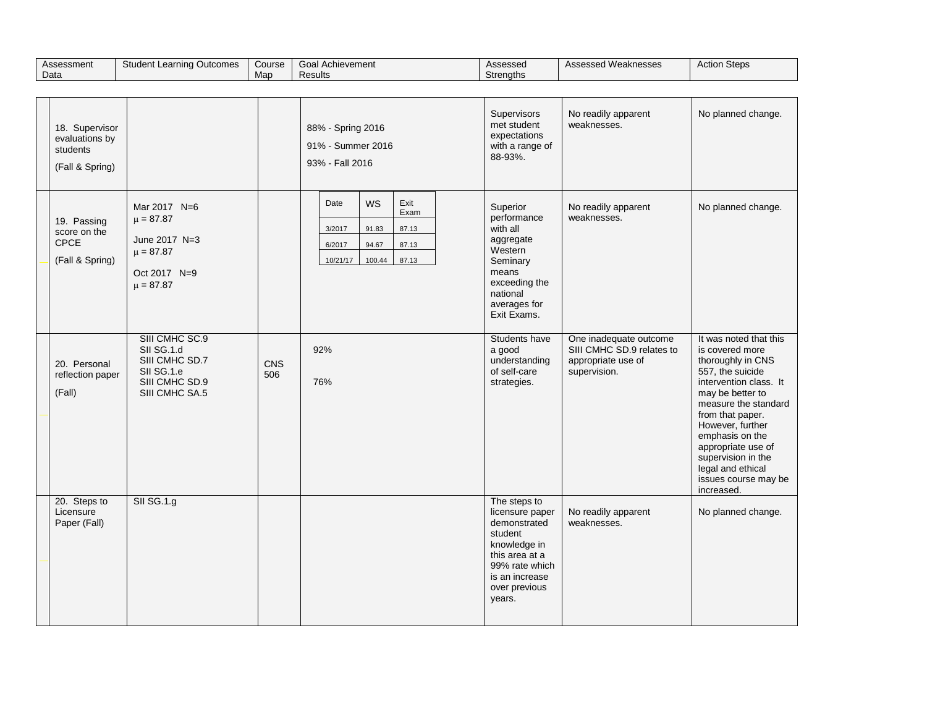| Assessment<br>Data                                              | <b>Student Learning Outcomes</b>                                                                 | Course<br>Map     | <b>Goal Achievement</b><br>Results                                                                                       | Assessed<br>Strengths                                                                                                                                       | Assessed Weaknesses                                                                       | <b>Action Steps</b>                                                                                                                                                                                                                                                                                                        |
|-----------------------------------------------------------------|--------------------------------------------------------------------------------------------------|-------------------|--------------------------------------------------------------------------------------------------------------------------|-------------------------------------------------------------------------------------------------------------------------------------------------------------|-------------------------------------------------------------------------------------------|----------------------------------------------------------------------------------------------------------------------------------------------------------------------------------------------------------------------------------------------------------------------------------------------------------------------------|
|                                                                 |                                                                                                  |                   |                                                                                                                          |                                                                                                                                                             |                                                                                           |                                                                                                                                                                                                                                                                                                                            |
| 18. Supervisor<br>evaluations by<br>students<br>(Fall & Spring) |                                                                                                  |                   | 88% - Spring 2016<br>91% - Summer 2016<br>93% - Fall 2016                                                                | Supervisors<br>met student<br>expectations<br>with a range of<br>88-93%.                                                                                    | No readily apparent<br>weaknesses.                                                        | No planned change.                                                                                                                                                                                                                                                                                                         |
| 19. Passing<br>score on the<br><b>CPCE</b><br>(Fall & Spring)   | Mar 2017 N=6<br>$\mu = 87.87$<br>June 2017 N=3<br>$\mu = 87.87$<br>Oct 2017 N=9<br>$\mu = 87.87$ |                   | <b>WS</b><br>Exit<br>Date<br>Exam<br>3/2017<br>91.83<br>87.13<br>6/2017<br>94.67<br>87.13<br>100.44<br>87.13<br>10/21/17 | Superior<br>performance<br>with all<br>aggregate<br>Western<br>Seminary<br>means<br>exceeding the<br>national<br>averages for<br>Exit Exams.                | No readily apparent<br>weaknesses.                                                        | No planned change.                                                                                                                                                                                                                                                                                                         |
| 20. Personal<br>reflection paper<br>(Fall)                      | SIII CMHC SC.9<br>SII SG.1.d<br>SIII CMHC SD.7<br>SII SG.1.e<br>SIII CMHC SD.9<br>SIII CMHC SA.5 | <b>CNS</b><br>506 | 92%<br>76%                                                                                                               | Students have<br>a good<br>understanding<br>of self-care<br>strategies.                                                                                     | One inadequate outcome<br>SIII CMHC SD.9 relates to<br>appropriate use of<br>supervision. | It was noted that this<br>is covered more<br>thoroughly in CNS<br>557, the suicide<br>intervention class. It<br>may be better to<br>measure the standard<br>from that paper.<br>However, further<br>emphasis on the<br>appropriate use of<br>supervision in the<br>legal and ethical<br>issues course may be<br>increased. |
| 20. Steps to<br>Licensure<br>Paper (Fall)                       | <b>SII SG.1.g</b>                                                                                |                   |                                                                                                                          | The steps to<br>licensure paper<br>demonstrated<br>student<br>knowledge in<br>this area at a<br>99% rate which<br>is an increase<br>over previous<br>years. | No readily apparent<br>weaknesses.                                                        | No planned change.                                                                                                                                                                                                                                                                                                         |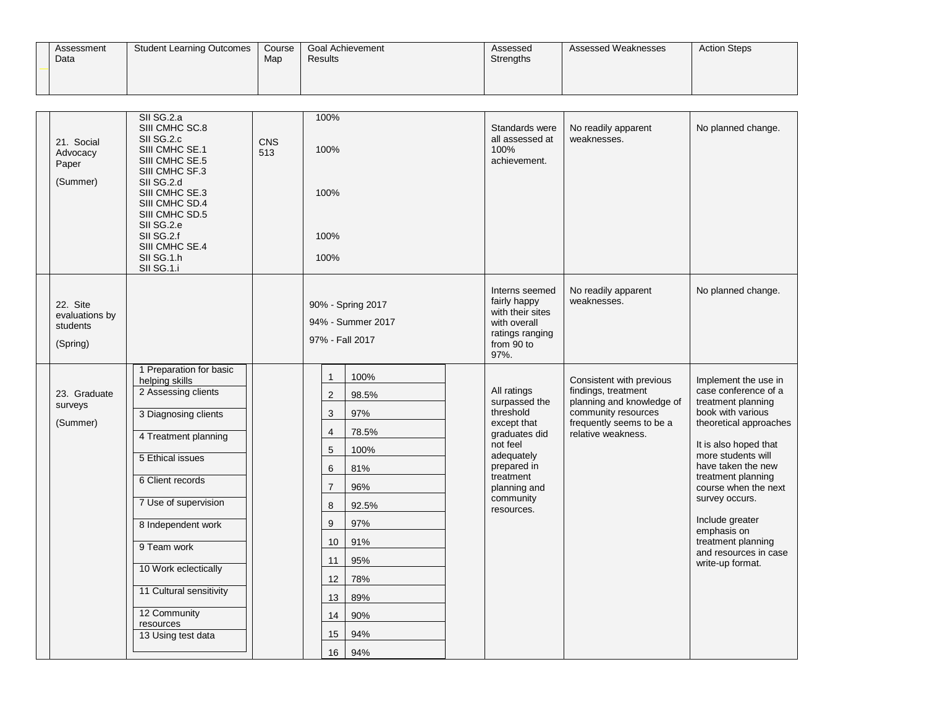| Assessment<br>Data | <b>Student Learning Outcomes</b> | Course<br>Map | Goal Achievement<br>Results | Assessed<br>Strengths | Assessed Weaknesses | <b>Action Steps</b> |
|--------------------|----------------------------------|---------------|-----------------------------|-----------------------|---------------------|---------------------|
|                    |                                  |               |                             |                       |                     |                     |

| 21. Social<br>Advocacy<br>Paper<br>(Summer)        | SII SG.2.a<br>SIII CMHC SC.8<br>SII SG.2.c<br>SIII CMHC SE.1<br>SIII CMHC SE.5<br>SIII CMHC SF.3<br>SII SG.2.d<br>SIII CMHC SE.3<br>SIII CMHC SD.4<br>SIII CMHC SD.5<br>SII SG.2.e<br>SII SG.2.f<br>SIII CMHC SE.4<br>SII SG.1.h<br>SII SG.1.i                                                                              | CNS<br>513 | 100%<br>100%<br>100%<br>100%<br>100%                                                                                   |                                                                                                                      | Standards were<br>all assessed at<br>100%<br>achievement.                                                                                                                  | No readily apparent<br>weaknesses.                                                                                                                    | No planned change.                                                                                                                                                                                                                                                                                                                                          |
|----------------------------------------------------|-----------------------------------------------------------------------------------------------------------------------------------------------------------------------------------------------------------------------------------------------------------------------------------------------------------------------------|------------|------------------------------------------------------------------------------------------------------------------------|----------------------------------------------------------------------------------------------------------------------|----------------------------------------------------------------------------------------------------------------------------------------------------------------------------|-------------------------------------------------------------------------------------------------------------------------------------------------------|-------------------------------------------------------------------------------------------------------------------------------------------------------------------------------------------------------------------------------------------------------------------------------------------------------------------------------------------------------------|
| 22. Site<br>evaluations by<br>students<br>(Spring) |                                                                                                                                                                                                                                                                                                                             |            | 97% - Fall 2017                                                                                                        | 90% - Spring 2017<br>94% - Summer 2017                                                                               | Interns seemed<br>fairly happy<br>with their sites<br>with overall<br>ratings ranging<br>from 90 to<br>97%.                                                                | No readily apparent<br>weaknesses.                                                                                                                    | No planned change.                                                                                                                                                                                                                                                                                                                                          |
| 23. Graduate<br>surveys<br>(Summer)                | 1 Preparation for basic<br>helping skills<br>2 Assessing clients<br>3 Diagnosing clients<br>4 Treatment planning<br>5 Ethical issues<br>6 Client records<br>7 Use of supervision<br>8 Independent work<br>9 Team work<br>10 Work eclectically<br>11 Cultural sensitivity<br>12 Community<br>resources<br>13 Using test data |            | 1<br>$\sqrt{2}$<br>3<br>$\overline{4}$<br>5<br>6<br>$\overline{7}$<br>8<br>9<br>10<br>11<br>12<br>13<br>14<br>15<br>16 | 100%<br>98.5%<br>97%<br>78.5%<br>100%<br>81%<br>96%<br>92.5%<br>97%<br>91%<br>95%<br>78%<br>89%<br>90%<br>94%<br>94% | All ratings<br>surpassed the<br>threshold<br>except that<br>graduates did<br>not feel<br>adequately<br>prepared in<br>treatment<br>planning and<br>community<br>resources. | Consistent with previous<br>findings, treatment<br>planning and knowledge of<br>community resources<br>frequently seems to be a<br>relative weakness. | Implement the use in<br>case conference of a<br>treatment planning<br>book with various<br>theoretical approaches<br>It is also hoped that<br>more students will<br>have taken the new<br>treatment planning<br>course when the next<br>survey occurs.<br>Include greater<br>emphasis on<br>treatment planning<br>and resources in case<br>write-up format. |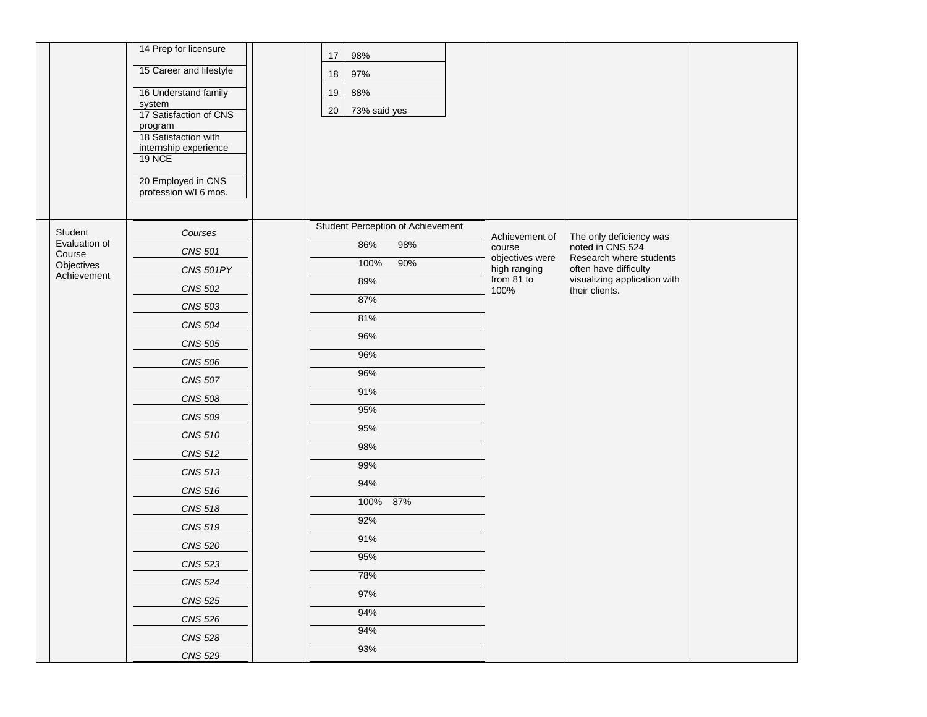|                      | 14 Prep for licensure                       | $17$ | 98%                               |                                 |                                                  |  |
|----------------------|---------------------------------------------|------|-----------------------------------|---------------------------------|--------------------------------------------------|--|
|                      | 15 Career and lifestyle                     | 18   | 97%                               |                                 |                                                  |  |
|                      | 16 Understand family                        | 19   | 88%                               |                                 |                                                  |  |
|                      | system                                      |      |                                   |                                 |                                                  |  |
|                      | 17 Satisfaction of CNS<br>program           | 20   | 73% said yes                      |                                 |                                                  |  |
|                      | 18 Satisfaction with                        |      |                                   |                                 |                                                  |  |
|                      | internship experience<br><b>19 NCE</b>      |      |                                   |                                 |                                                  |  |
|                      |                                             |      |                                   |                                 |                                                  |  |
|                      | 20 Employed in CNS<br>profession w/l 6 mos. |      |                                   |                                 |                                                  |  |
|                      |                                             |      |                                   |                                 |                                                  |  |
| Student              | Courses                                     |      | Student Perception of Achievement |                                 |                                                  |  |
| Evaluation of        | <b>CNS 501</b>                              |      | 86%<br>98%                        | Achievement of<br>course        | The only deficiency was<br>noted in CNS 524      |  |
| Course<br>Objectives | CNS 501PY                                   |      | 90%<br>100%                       | objectives were<br>high ranging | Research where students<br>often have difficulty |  |
| Achievement          |                                             |      | 89%                               | from 81 to                      | visualizing application with                     |  |
|                      | <b>CNS 502</b>                              |      | 87%                               | 100%                            | their clients.                                   |  |
|                      | <b>CNS 503</b>                              |      | 81%                               |                                 |                                                  |  |
|                      | <b>CNS 504</b>                              |      | 96%                               |                                 |                                                  |  |
|                      | <b>CNS 505</b>                              |      | 96%                               |                                 |                                                  |  |
|                      | <b>CNS 506</b>                              |      | 96%                               |                                 |                                                  |  |
|                      | <b>CNS 507</b>                              |      | 91%                               |                                 |                                                  |  |
|                      | <b>CNS 508</b>                              |      | 95%                               |                                 |                                                  |  |
|                      | <b>CNS 509</b>                              |      | 95%                               |                                 |                                                  |  |
|                      | <b>CNS 510</b>                              |      | 98%                               |                                 |                                                  |  |
|                      | <b>CNS 512</b>                              |      | 99%                               |                                 |                                                  |  |
|                      | <b>CNS 513</b>                              |      | 94%                               |                                 |                                                  |  |
|                      | <b>CNS 516</b>                              |      | 100%<br>87%                       |                                 |                                                  |  |
|                      | <b>CNS 518</b>                              |      |                                   |                                 |                                                  |  |
|                      | <b>CNS 519</b>                              |      | 92%                               |                                 |                                                  |  |
|                      | <b>CNS 520</b>                              |      | 91%                               |                                 |                                                  |  |
|                      | <b>CNS 523</b>                              |      | 95%                               |                                 |                                                  |  |
|                      | <b>CNS 524</b>                              |      | 78%                               |                                 |                                                  |  |
|                      | <b>CNS 525</b>                              |      | 97%                               |                                 |                                                  |  |
|                      | <b>CNS 526</b>                              |      | 94%                               |                                 |                                                  |  |
|                      | <b>CNS 528</b>                              |      | 94%                               |                                 |                                                  |  |
|                      | <b>CNS 529</b>                              |      | 93%                               |                                 |                                                  |  |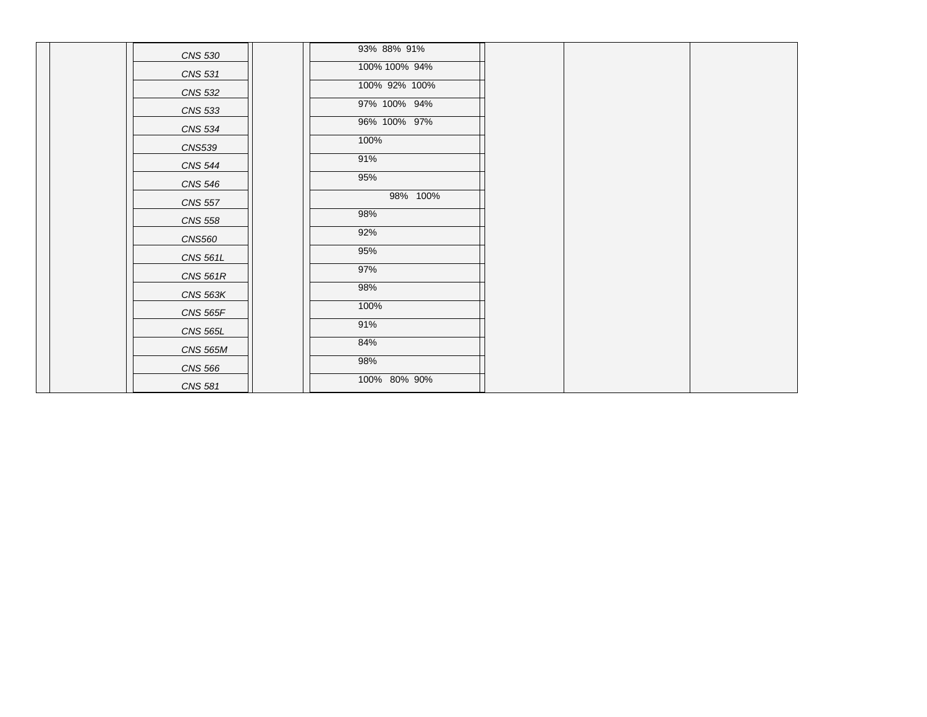| <b>CNS 530</b>  | 93% 88% 91%   |  |  |
|-----------------|---------------|--|--|
| <b>CNS 531</b>  | 100% 100% 94% |  |  |
| <b>CNS 532</b>  | 100% 92% 100% |  |  |
| <b>CNS 533</b>  | 97% 100% 94%  |  |  |
| <b>CNS 534</b>  | 96% 100% 97%  |  |  |
| <b>CNS539</b>   | 100%          |  |  |
| <b>CNS 544</b>  | 91%           |  |  |
| <b>CNS 546</b>  | 95%           |  |  |
| <b>CNS 557</b>  | 98% 100%      |  |  |
| <b>CNS 558</b>  | 98%           |  |  |
| <b>CNS560</b>   | 92%           |  |  |
| <b>CNS 561L</b> | 95%           |  |  |
| <b>CNS 561R</b> | 97%           |  |  |
| <b>CNS 563K</b> | 98%           |  |  |
| <b>CNS 565F</b> | 100%          |  |  |
| <b>CNS 565L</b> | 91%           |  |  |
| <b>CNS 565M</b> | 84%           |  |  |
| <b>CNS 566</b>  | 98%           |  |  |
| CNS 581         | 100% 80% 90%  |  |  |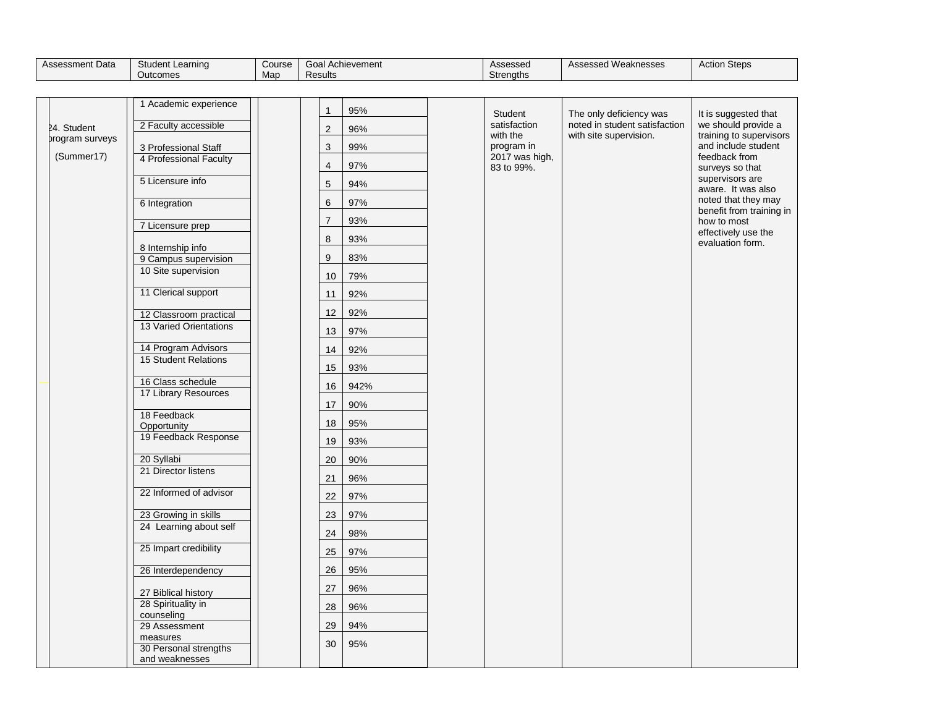| Assessment Data | Student L<br>Learning | -<br>Course | ⊸oal A<br>Achievement | Assessed  | Assessed Weaknesses | Action<br>Steps |
|-----------------|-----------------------|-------------|-----------------------|-----------|---------------------|-----------------|
|                 | Outcomes              | Map         | Results               | Strenaths |                     |                 |

|                 | 1 Academic experience                     | $\mathbf{1}$   | 95%  | Student                | The only deficiency was       | It is suggested that                            |
|-----------------|-------------------------------------------|----------------|------|------------------------|-------------------------------|-------------------------------------------------|
| 24. Student     | 2 Faculty accessible                      | $\overline{c}$ | 96%  | satisfaction           | noted in student satisfaction | we should provide a                             |
| program surveys | 3 Professional Staff                      | $\sqrt{3}$     | 99%  | with the<br>program in | with site supervision.        | training to supervisors<br>and include student  |
| (Summer17)      | 4 Professional Faculty                    |                |      | 2017 was high,         |                               | feedback from                                   |
|                 |                                           | $\overline{4}$ | 97%  | 83 to 99%.             |                               | surveys so that<br>supervisors are              |
|                 | 5 Licensure info                          | $\sqrt{5}$     | 94%  |                        |                               | aware. It was also                              |
|                 | 6 Integration                             | 6              | 97%  |                        |                               | noted that they may<br>benefit from training in |
|                 | 7 Licensure prep                          | $\overline{7}$ | 93%  |                        |                               | how to most                                     |
|                 |                                           | 8              | 93%  |                        |                               | effectively use the<br>evaluation form.         |
|                 | 8 Internship info<br>9 Campus supervision | 9              | 83%  |                        |                               |                                                 |
|                 | 10 Site supervision                       |                | 79%  |                        |                               |                                                 |
|                 |                                           | 10             |      |                        |                               |                                                 |
|                 | 11 Clerical support                       | 11             | 92%  |                        |                               |                                                 |
|                 | 12 Classroom practical                    | 12             | 92%  |                        |                               |                                                 |
|                 | 13 Varied Orientations                    | 13             | 97%  |                        |                               |                                                 |
|                 | 14 Program Advisors                       | 14             | 92%  |                        |                               |                                                 |
|                 | 15 Student Relations                      | 15             | 93%  |                        |                               |                                                 |
|                 | 16 Class schedule                         | 16             | 942% |                        |                               |                                                 |
|                 | 17 Library Resources                      |                |      |                        |                               |                                                 |
|                 | 18 Feedback                               | 17             | 90%  |                        |                               |                                                 |
|                 | Opportunity                               | 18             | 95%  |                        |                               |                                                 |
|                 | 19 Feedback Response                      | 19             | 93%  |                        |                               |                                                 |
|                 | 20 Syllabi                                | 20             | 90%  |                        |                               |                                                 |
|                 | 21 Director listens                       | 21             | 96%  |                        |                               |                                                 |
|                 | 22 Informed of advisor                    | 22             | 97%  |                        |                               |                                                 |
|                 | 23 Growing in skills                      | 23             | 97%  |                        |                               |                                                 |
|                 | 24 Learning about self                    |                |      |                        |                               |                                                 |
|                 | 25 Impart credibility                     | 24             | 98%  |                        |                               |                                                 |
|                 |                                           | 25             | 97%  |                        |                               |                                                 |
|                 | 26 Interdependency                        | 26             | 95%  |                        |                               |                                                 |
|                 | 27 Biblical history                       | 27             | 96%  |                        |                               |                                                 |
|                 | 28 Spirituality in                        | 28             | 96%  |                        |                               |                                                 |
|                 | counseling<br>29 Assessment               | 29             | 94%  |                        |                               |                                                 |
|                 | measures                                  | 30             | 95%  |                        |                               |                                                 |
|                 | 30 Personal strengths<br>and weaknesses   |                |      |                        |                               |                                                 |
|                 |                                           |                |      |                        |                               |                                                 |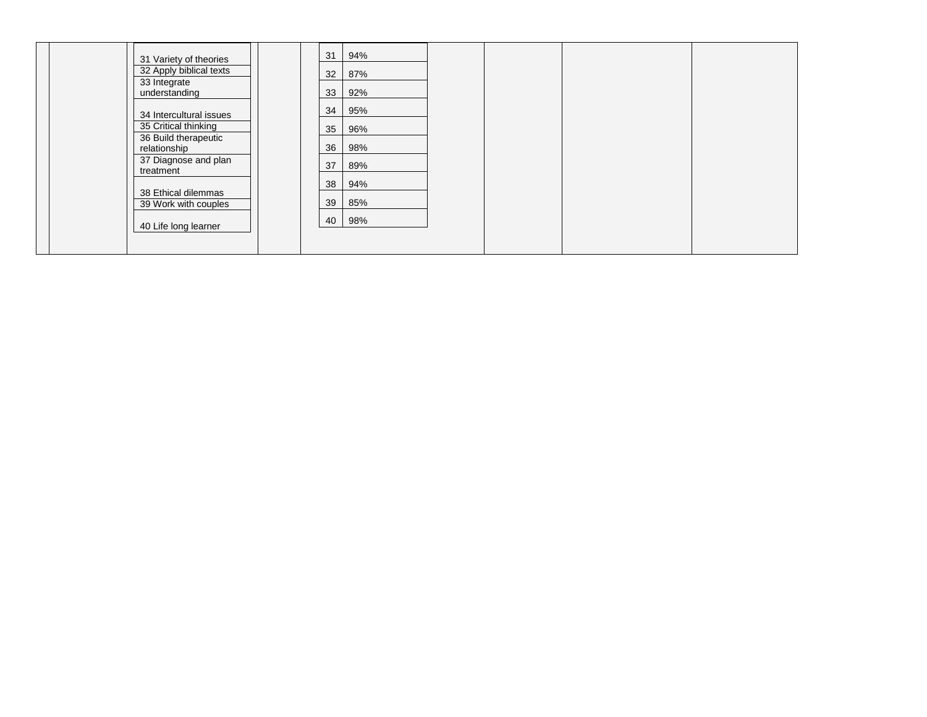| 31 Variety of theories                       | 31 | 94% |  |  |
|----------------------------------------------|----|-----|--|--|
| 32 Apply biblical texts                      | 32 | 87% |  |  |
| 33 Integrate<br>understanding                | 33 | 92% |  |  |
| 34 Intercultural issues                      | 34 | 95% |  |  |
| 35 Critical thinking<br>36 Build therapeutic | 35 | 96% |  |  |
| relationship                                 | 36 | 98% |  |  |
| 37 Diagnose and plan<br>treatment            | 37 | 89% |  |  |
| 38 Ethical dilemmas                          | 38 | 94% |  |  |
| 39 Work with couples                         | 39 | 85% |  |  |
| 40 Life long learner                         | 40 | 98% |  |  |
|                                              |    |     |  |  |